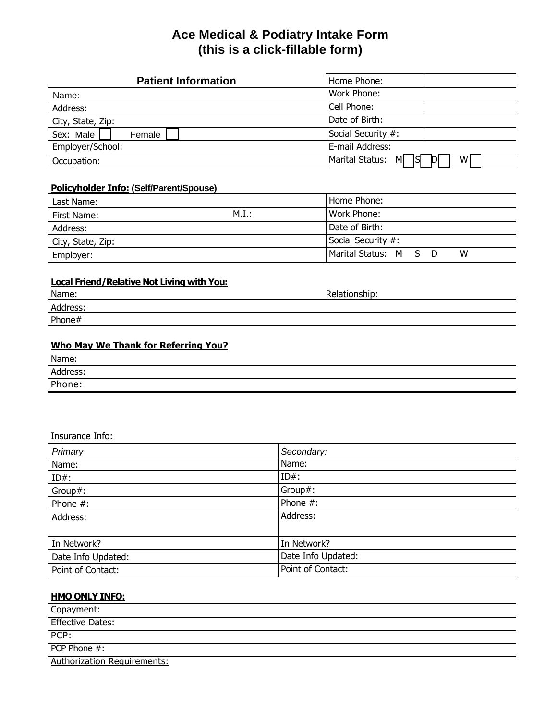# **Ace Medical & Podiatry Intake Form (this is a click-fillable form)**

| <b>Patient Information</b> | Home Phone:                            |
|----------------------------|----------------------------------------|
| Name:                      | Work Phone:                            |
| Address:                   | Cell Phone:                            |
| City, State, Zip:          | Date of Birth:                         |
| Sex: Male<br>Female        | Social Security #:                     |
| Employer/School:           | E-mail Address:                        |
| Occupation:                | Marital Status: M<br>ISI<br>$W_1$<br>D |
|                            |                                        |

### **Policyholder Info: (Self/Parent/Spouse)**

| Last Name:        |       | Home Phone:           |  |   |
|-------------------|-------|-----------------------|--|---|
| First Name:       | M.I.: | Work Phone:           |  |   |
| Address:          |       | Date of Birth:        |  |   |
| City, State, Zip: |       | Social Security #:    |  |   |
| Employer:         |       | Marital Status: M S D |  | w |

## **Local Friend/Relative Not Living with You:**

| Name:    | Relationship: |
|----------|---------------|
| Address: |               |
| Phone#   |               |
|          |               |

## **Who May We Thank for Referring You?**

| Name:    |  |
|----------|--|
| Address: |  |
| Phone:   |  |

### Insurance Info:

| Primary            | Secondary:         |
|--------------------|--------------------|
| Name:              | Name:              |
| $ID#$ :            | $ID#$ :            |
| Group#:            | Group#:            |
| Phone #:           | Phone $#$ :        |
| Address:           | Address:           |
|                    |                    |
| In Network?        | In Network?        |
| Date Info Updated: | Date Info Updated: |
| Point of Contact:  | Point of Contact:  |

### **HMO ONLY INFO:**

| Copayment:                         |  |
|------------------------------------|--|
| <b>Effective Dates:</b>            |  |
| PCP:                               |  |
| $PCP$ Phone $#$ :                  |  |
| <b>Authorization Requirements:</b> |  |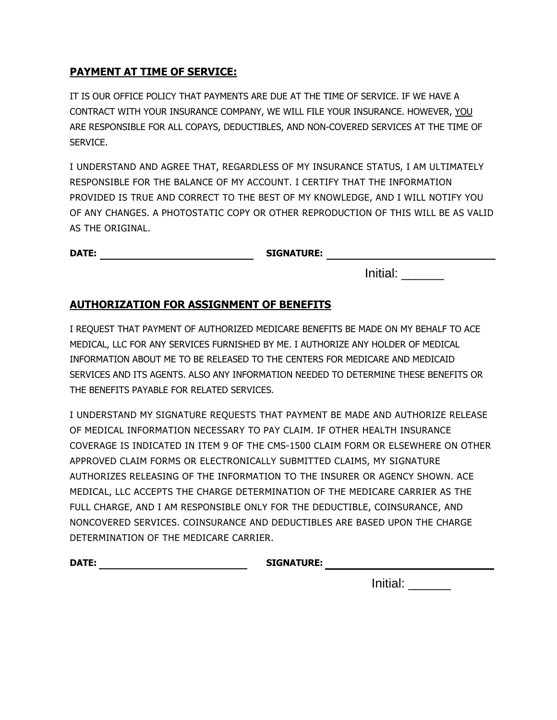## **PAYMENT AT TIME OF SERVICE:**

IT IS OUR OFFICE POLICY THAT PAYMENTS ARE DUE AT THE TIME OF SERVICE. IF WE HAVE A CONTRACT WITH YOUR INSURANCE COMPANY, WE WILL FILE YOUR INSURANCE. HOWEVER, YOU ARE RESPONSIBLE FOR ALL COPAYS, DEDUCTIBLES, AND NON-COVERED SERVICES AT THE TIME OF SERVICE.

I UNDERSTAND AND AGREE THAT, REGARDLESS OF MY INSURANCE STATUS, I AM ULTIMATELY RESPONSIBLE FOR THE BALANCE OF MY ACCOUNT. I CERTIFY THAT THE INFORMATION PROVIDED IS TRUE AND CORRECT TO THE BEST OF MY KNOWLEDGE, AND I WILL NOTIFY YOU OF ANY CHANGES. A PHOTOSTATIC COPY OR OTHER REPRODUCTION OF THIS WILL BE AS VALID AS THE ORIGINAL.

**DATE: SIGNATURE:**

Initial: \_\_\_\_\_\_

## **AUTHORIZATION FOR ASSIGNMENT OF BENEFITS**

I REQUEST THAT PAYMENT OF AUTHORIZED MEDICARE BENEFITS BE MADE ON MY BEHALF TO ACE MEDICAL, LLC FOR ANY SERVICES FURNISHED BY ME. I AUTHORIZE ANY HOLDER OF MEDICAL INFORMATION ABOUT ME TO BE RELEASED TO THE CENTERS FOR MEDICARE AND MEDICAID SERVICES AND ITS AGENTS. ALSO ANY INFORMATION NEEDED TO DETERMINE THESE BENEFITS OR THE BENEFITS PAYABLE FOR RELATED SERVICES.

I UNDERSTAND MY SIGNATURE REQUESTS THAT PAYMENT BE MADE AND AUTHORIZE RELEASE OF MEDICAL INFORMATION NECESSARY TO PAY CLAIM. IF OTHER HEALTH INSURANCE COVERAGE IS INDICATED IN ITEM 9 OF THE CMS-1500 CLAIM FORM OR ELSEWHERE ON OTHER APPROVED CLAIM FORMS OR ELECTRONICALLY SUBMITTED CLAIMS, MY SIGNATURE AUTHORIZES RELEASING OF THE INFORMATION TO THE INSURER OR AGENCY SHOWN. ACE MEDICAL, LLC ACCEPTS THE CHARGE DETERMINATION OF THE MEDICARE CARRIER AS THE FULL CHARGE, AND I AM RESPONSIBLE ONLY FOR THE DEDUCTIBLE, COINSURANCE, AND NONCOVERED SERVICES. COINSURANCE AND DEDUCTIBLES ARE BASED UPON THE CHARGE DETERMINATION OF THE MEDICARE CARRIER.

**DATE: SIGNATURE:**

Initial: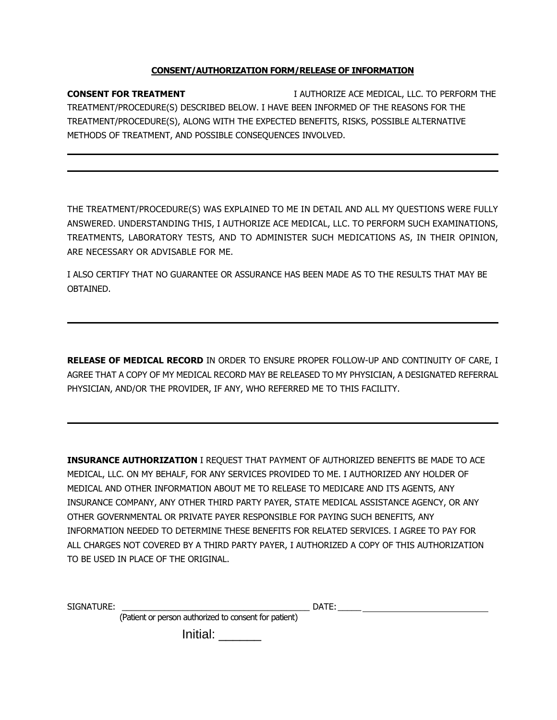#### **CONSENT/AUTHORIZATION FORM/RELEASE OF INFORMATION**

**CONSENT FOR TREATMENT** I AUTHORIZE ACE MEDICAL, LLC. TO PERFORM THE TREATMENT/PROCEDURE(S) DESCRIBED BELOW. I HAVE BEEN INFORMED OF THE REASONS FOR THE TREATMENT/PROCEDURE(S), ALONG WITH THE EXPECTED BENEFITS, RISKS, POSSIBLE ALTERNATIVE METHODS OF TREATMENT, AND POSSIBLE CONSEQUENCES INVOLVED.

THE TREATMENT/PROCEDURE(S) WAS EXPLAINED TO ME IN DETAIL AND ALL MY QUESTIONS WERE FULLY ANSWERED. UNDERSTANDING THIS, I AUTHORIZE ACE MEDICAL, LLC. TO PERFORM SUCH EXAMINATIONS, TREATMENTS, LABORATORY TESTS, AND TO ADMINISTER SUCH MEDICATIONS AS, IN THEIR OPINION, ARE NECESSARY OR ADVISABLE FOR ME.

I ALSO CERTIFY THAT NO GUARANTEE OR ASSURANCE HAS BEEN MADE AS TO THE RESULTS THAT MAY BE OBTAINED.

**RELEASE OF MEDICAL RECORD** IN ORDER TO ENSURE PROPER FOLLOW-UP AND CONTINUITY OF CARE, I AGREE THAT A COPY OF MY MEDICAL RECORD MAY BE RELEASED TO MY PHYSICIAN, A DESIGNATED REFERRAL PHYSICIAN, AND/OR THE PROVIDER, IF ANY, WHO REFERRED ME TO THIS FACILITY.

**INSURANCE AUTHORIZATION** I REQUEST THAT PAYMENT OF AUTHORIZED BENEFITS BE MADE TO ACE MEDICAL, LLC. ON MY BEHALF, FOR ANY SERVICES PROVIDED TO ME. I AUTHORIZED ANY HOLDER OF MEDICAL AND OTHER INFORMATION ABOUT ME TO RELEASE TO MEDICARE AND ITS AGENTS, ANY INSURANCE COMPANY, ANY OTHER THIRD PARTY PAYER, STATE MEDICAL ASSISTANCE AGENCY, OR ANY OTHER GOVERNMENTAL OR PRIVATE PAYER RESPONSIBLE FOR PAYING SUCH BENEFITS, ANY INFORMATION NEEDED TO DETERMINE THESE BENEFITS FOR RELATED SERVICES. I AGREE TO PAY FOR ALL CHARGES NOT COVERED BY A THIRD PARTY PAYER, I AUTHORIZED A COPY OF THIS AUTHORIZATION TO BE USED IN PLACE OF THE ORIGINAL.

SIGNATURE: \_\_\_\_\_\_\_\_\_\_\_\_\_\_\_\_\_\_\_\_\_\_\_\_\_\_\_\_\_\_\_\_\_\_\_\_\_\_\_\_ DATE:\_\_\_\_\_

(Patient or person authorized to consent for patient)

Initial: \_\_\_\_\_\_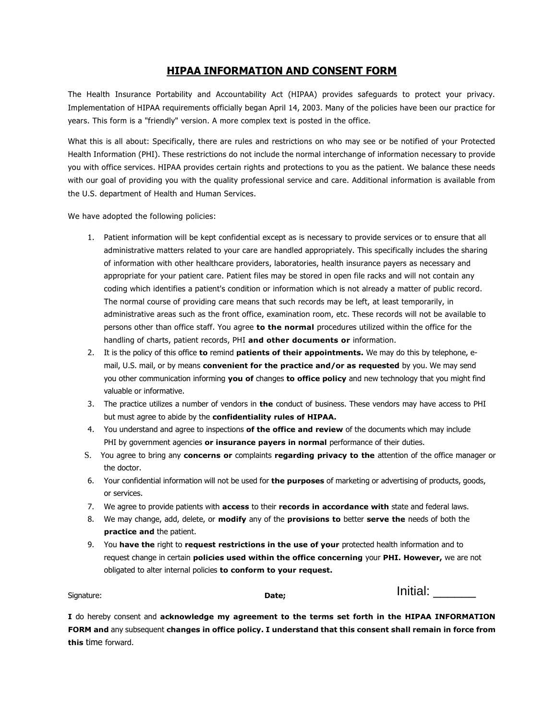### **HIPAA INFORMATION AND CONSENT FORM**

The Health Insurance Portability and Accountability Act (HIPAA) provides safeguards to protect your privacy. Implementation of HIPAA requirements officially began April 14, 2003. Many of the policies have been our practice for years. This form is a "friendly" version. A more complex text is posted in the office.

What this is all about: Specifically, there are rules and restrictions on who may see or be notified of your Protected Health Information (PHI). These restrictions do not include the normal interchange of information necessary to provide you with office services. HIPAA provides certain rights and protections to you as the patient. We balance these needs with our goal of providing you with the quality professional service and care. Additional information is available from the U.S. department of Health and Human Services.

We have adopted the following policies:

- 1. Patient information will be kept confidential except as is necessary to provide services or to ensure that all administrative matters related to your care are handled appropriately. This specifically includes the sharing of information with other healthcare providers, laboratories, health insurance payers as necessary and appropriate for your patient care. Patient files may be stored in open file racks and will not contain any coding which identifies a patient's condition or information which is not already a matter of public record. The normal course of providing care means that such records may be left, at least temporarily, in administrative areas such as the front office, examination room, etc. These records will not be available to persons other than office staff. You agree **to the normal** procedures utilized within the office for the handling of charts, patient records, PHI **and other documents or** information.
- 2. It is the policy of this office **to** remind **patients of their appointments.** We may do this by telephone, email, U.S. mail, or by means **convenient for the practice and/or as requested** by you. We may send you other communication informing **you of** changes **to office policy** and new technology that you might find valuable or informative.
- 3. The practice utilizes a number of vendors in **the** conduct of business. These vendors may have access to PHI but must agree to abide by the **confidentiality rules of HIPAA.**
- 4. You understand and agree to inspections **of the office and review** of the documents which may include PHI by government agencies **or insurance payers in normal** performance of their duties.
- S. You agree to bring any **concerns or** complaints **regarding privacy to the** attention of the office manager or the doctor.
- 6. Your confidential information will not be used for **the purposes** of marketing or advertising of products, goods, or services.
- 7. We agree to provide patients with **access** to their **records in accordance with** state and federal laws.
- 8. We may change, add, delete, or **modify** any of the **provisions to** better **serve the** needs of both the **practice and** the patient.
- 9. You **have the** right to **request restrictions in the use of your** protected health information and to request change in certain **policies used within the office concerning** your **PHI. However,** we are not obligated to alter internal policies **to conform to your request.**

| Signature:<br>Date; |  | Initial: |  |
|---------------------|--|----------|--|
|---------------------|--|----------|--|

**I** do hereby consent and **acknowledge my agreement to the terms set forth in the HIPAA INFORMATION FORM and** any subsequent **changes in office policy. I understand that this consent shall remain in force from this** time forward.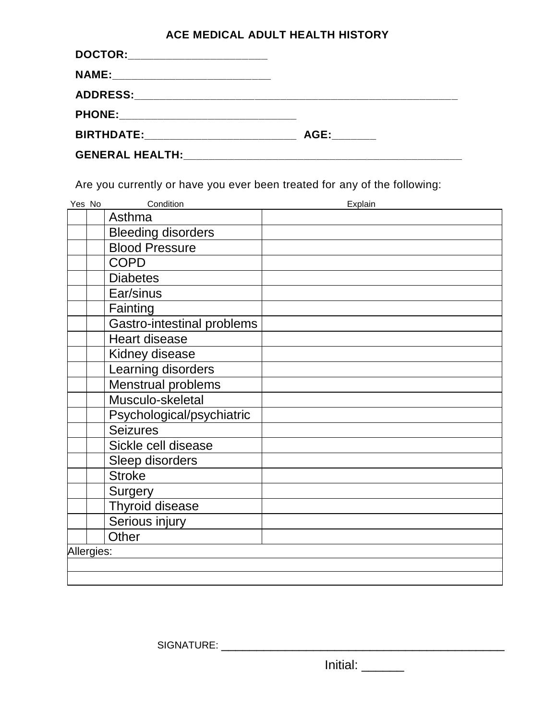# **ACE MEDICAL ADULT HEALTH HISTORY**

| DOCTOR:________________________                                                                                                                                                                                                     |                                                                                                                                                                                                                               |
|-------------------------------------------------------------------------------------------------------------------------------------------------------------------------------------------------------------------------------------|-------------------------------------------------------------------------------------------------------------------------------------------------------------------------------------------------------------------------------|
|                                                                                                                                                                                                                                     |                                                                                                                                                                                                                               |
|                                                                                                                                                                                                                                     |                                                                                                                                                                                                                               |
| PHONE: ________________________________                                                                                                                                                                                             |                                                                                                                                                                                                                               |
| <b>BIRTHDATE:</b> The contract of the contract of the contract of the contract of the contract of the contract of the contract of the contract of the contract of the contract of the contract of the contract of the contract of t | AGE: And the set of the set of the set of the set of the set of the set of the set of the set of the set of the set of the set of the set of the set of the set of the set of the set of the set of the set of the set of the |
|                                                                                                                                                                                                                                     |                                                                                                                                                                                                                               |

Are you currently or have you ever been treated for any of the following:

| Yes No     | Condition                  | Explain |
|------------|----------------------------|---------|
|            | Asthma                     |         |
|            | <b>Bleeding disorders</b>  |         |
|            | <b>Blood Pressure</b>      |         |
|            | <b>COPD</b>                |         |
|            | <b>Diabetes</b>            |         |
|            | Ear/sinus                  |         |
|            | Fainting                   |         |
|            | Gastro-intestinal problems |         |
|            | <b>Heart disease</b>       |         |
|            | Kidney disease             |         |
|            | Learning disorders         |         |
|            | <b>Menstrual problems</b>  |         |
|            | Musculo-skeletal           |         |
|            | Psychological/psychiatric  |         |
|            | <b>Seizures</b>            |         |
|            | Sickle cell disease        |         |
|            | Sleep disorders            |         |
|            | <b>Stroke</b>              |         |
|            | Surgery                    |         |
|            | Thyroid disease            |         |
|            | Serious injury             |         |
|            | Other                      |         |
| Allergies: |                            |         |
|            |                            |         |
|            |                            |         |

SIGNATURE: \_\_\_\_\_\_\_\_\_\_\_\_\_\_\_\_\_\_\_\_\_\_\_\_\_\_\_\_\_\_\_\_\_\_\_\_\_\_\_\_

 $Initial:$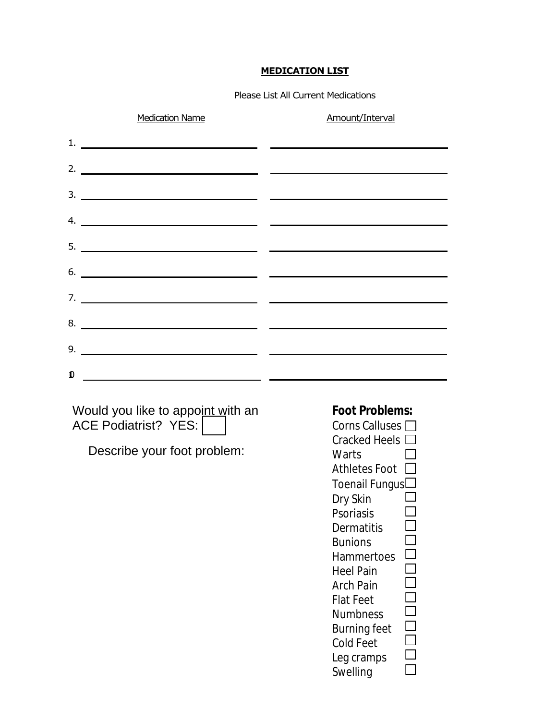### **MEDICATION LIST**

Please List All Current Medications

|              | <b>Medication Name</b>                                                                                                                                                                                                                                                                                                                                                                                                                                                   | Amount/Interval                                                                                                                                                                                                                                                                                                                                                                                                                  |
|--------------|--------------------------------------------------------------------------------------------------------------------------------------------------------------------------------------------------------------------------------------------------------------------------------------------------------------------------------------------------------------------------------------------------------------------------------------------------------------------------|----------------------------------------------------------------------------------------------------------------------------------------------------------------------------------------------------------------------------------------------------------------------------------------------------------------------------------------------------------------------------------------------------------------------------------|
|              |                                                                                                                                                                                                                                                                                                                                                                                                                                                                          |                                                                                                                                                                                                                                                                                                                                                                                                                                  |
|              |                                                                                                                                                                                                                                                                                                                                                                                                                                                                          |                                                                                                                                                                                                                                                                                                                                                                                                                                  |
|              |                                                                                                                                                                                                                                                                                                                                                                                                                                                                          | $\frac{1}{2}$ . The contract of the contract of the contract of the contract of the contract of the contract of the contract of the contract of the contract of the contract of the contract of the contract of the contract of t                                                                                                                                                                                                |
|              | 4. $\overline{\phantom{a}}$ $\overline{\phantom{a}}$ $\overline{\phantom{a}}$ $\overline{\phantom{a}}$ $\overline{\phantom{a}}$ $\overline{\phantom{a}}$ $\overline{\phantom{a}}$ $\overline{\phantom{a}}$ $\overline{\phantom{a}}$ $\overline{\phantom{a}}$ $\overline{\phantom{a}}$ $\overline{\phantom{a}}$ $\overline{\phantom{a}}$ $\overline{\phantom{a}}$ $\overline{\phantom{a}}$ $\overline{\phantom{a}}$ $\overline{\phantom{a}}$ $\overline{\phantom{a}}$ $\$ |                                                                                                                                                                                                                                                                                                                                                                                                                                  |
|              |                                                                                                                                                                                                                                                                                                                                                                                                                                                                          |                                                                                                                                                                                                                                                                                                                                                                                                                                  |
|              |                                                                                                                                                                                                                                                                                                                                                                                                                                                                          | $\overline{\phantom{a}}$ 6. $\overline{\phantom{a}}$ 6. $\overline{\phantom{a}}$ 6. $\overline{\phantom{a}}$ 6. $\overline{\phantom{a}}$ 6. $\overline{\phantom{a}}$ 6. $\overline{\phantom{a}}$ 6. $\overline{\phantom{a}}$ 6. $\overline{\phantom{a}}$ 6. $\overline{\phantom{a}}$ 6. $\overline{\phantom{a}}$ 6. $\overline{\phantom{a}}$ 6. $\overline{\phantom{a}}$ 6. $\overline{\phantom{a}}$ 6. $\overline{\phantom{a}}$ |
|              |                                                                                                                                                                                                                                                                                                                                                                                                                                                                          |                                                                                                                                                                                                                                                                                                                                                                                                                                  |
|              |                                                                                                                                                                                                                                                                                                                                                                                                                                                                          | $8.$ $\overline{\phantom{a}}$                                                                                                                                                                                                                                                                                                                                                                                                    |
|              |                                                                                                                                                                                                                                                                                                                                                                                                                                                                          |                                                                                                                                                                                                                                                                                                                                                                                                                                  |
| $\mathbf{0}$ |                                                                                                                                                                                                                                                                                                                                                                                                                                                                          |                                                                                                                                                                                                                                                                                                                                                                                                                                  |
|              | <u> 1989 - Johann Barnett, fransk politik (</u>                                                                                                                                                                                                                                                                                                                                                                                                                          |                                                                                                                                                                                                                                                                                                                                                                                                                                  |

ACE Podiatrist? YES:

# **Foot Problems:**

| Would you like to appoint with an | <b>Foot Problems:</b> |
|-----------------------------------|-----------------------|
| <b>ACE Podiatrist? YES:</b>       | Corns Calluses $\Box$ |
|                                   | <b>Cracked Heels</b>  |
| Describe your foot problem:       | <b>Warts</b>          |
|                                   | <b>Athletes Foot</b>  |
|                                   | Toenail Fungus        |
|                                   | Dry Skin              |
|                                   | <b>Psoriasis</b>      |
|                                   | <b>Dermatitis</b>     |
|                                   | <b>Bunions</b>        |
|                                   | <b>Hammertoes</b>     |
|                                   | <b>Heel Pain</b>      |
|                                   | <b>Arch Pain</b>      |
|                                   | <b>Flat Feet</b>      |
|                                   | <b>Numbness</b>       |
|                                   | <b>Burning feet</b>   |
|                                   | <b>Cold Feet</b>      |
|                                   | Leg cramps            |
|                                   | <b>Swelling</b>       |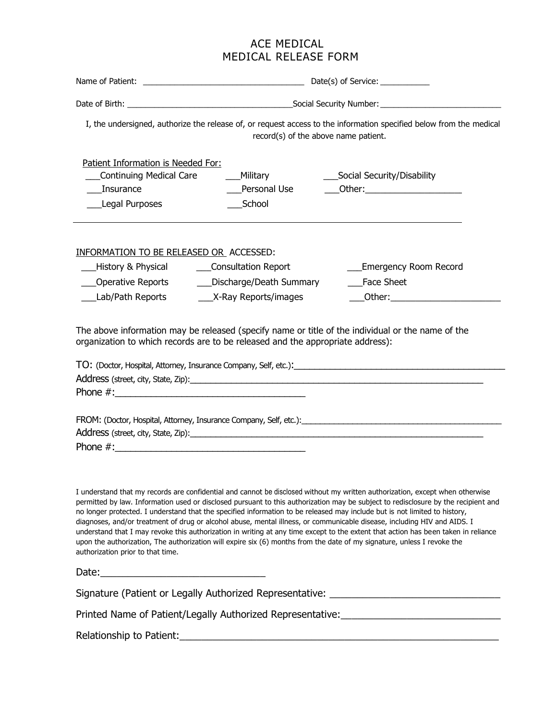# ACE MEDICAL MEDICAL RELEASE FORM

| I, the undersigned, authorize the release of, or request access to the information specified below from the medical<br>record(s) of the above name patient.                                                                                                                                                                                                                                                            |                                                                                 |                                                                                                                                                                                                                                                                                                                                                                                                           |
|------------------------------------------------------------------------------------------------------------------------------------------------------------------------------------------------------------------------------------------------------------------------------------------------------------------------------------------------------------------------------------------------------------------------|---------------------------------------------------------------------------------|-----------------------------------------------------------------------------------------------------------------------------------------------------------------------------------------------------------------------------------------------------------------------------------------------------------------------------------------------------------------------------------------------------------|
| Patient Information is Needed For:<br>Continuing Medical Care<br>Insurance<br>Legal Purposes                                                                                                                                                                                                                                                                                                                           | ___Military<br>Personal Use<br>School                                           | _Social Security/Disability<br>_Other:________________________                                                                                                                                                                                                                                                                                                                                            |
| <b>INFORMATION TO BE RELEASED OR ACCESSED:</b><br>___History & Physical<br>___Operative Reports<br>Lab/Path Reports                                                                                                                                                                                                                                                                                                    | ___Consultation Report<br>___Discharge/Death Summary<br>___X-Ray Reports/images | <b>Emergency Room Record</b><br><b>Face Sheet</b>                                                                                                                                                                                                                                                                                                                                                         |
| The above information may be released (specify name or title of the individual or the name of the<br>organization to which records are to be released and the appropriate address):                                                                                                                                                                                                                                    |                                                                                 |                                                                                                                                                                                                                                                                                                                                                                                                           |
|                                                                                                                                                                                                                                                                                                                                                                                                                        |                                                                                 |                                                                                                                                                                                                                                                                                                                                                                                                           |
| no longer protected. I understand that the specified information to be released may include but is not limited to history,<br>diagnoses, and/or treatment of drug or alcohol abuse, mental illness, or communicable disease, including HIV and AIDS. I<br>upon the authorization, The authorization will expire six (6) months from the date of my signature, unless I revoke the<br>authorization prior to that time. |                                                                                 | I understand that my records are confidential and cannot be disclosed without my written authorization, except when otherwise<br>permitted by law. Information used or disclosed pursuant to this authorization may be subject to redisclosure by the recipient and<br>understand that I may revoke this authorization in writing at any time except to the extent that action has been taken in reliance |
|                                                                                                                                                                                                                                                                                                                                                                                                                        |                                                                                 |                                                                                                                                                                                                                                                                                                                                                                                                           |
|                                                                                                                                                                                                                                                                                                                                                                                                                        |                                                                                 | Signature (Patient or Legally Authorized Representative: _______________________                                                                                                                                                                                                                                                                                                                          |
|                                                                                                                                                                                                                                                                                                                                                                                                                        |                                                                                 | Printed Name of Patient/Legally Authorized Representative: ______________________                                                                                                                                                                                                                                                                                                                         |

Relationship to Patient:\_\_\_\_\_\_\_\_\_\_\_\_\_\_\_\_\_\_\_\_\_\_\_\_\_\_\_\_\_\_\_\_\_\_\_\_\_\_\_\_\_\_\_\_\_\_\_\_\_\_\_\_\_\_\_\_\_\_